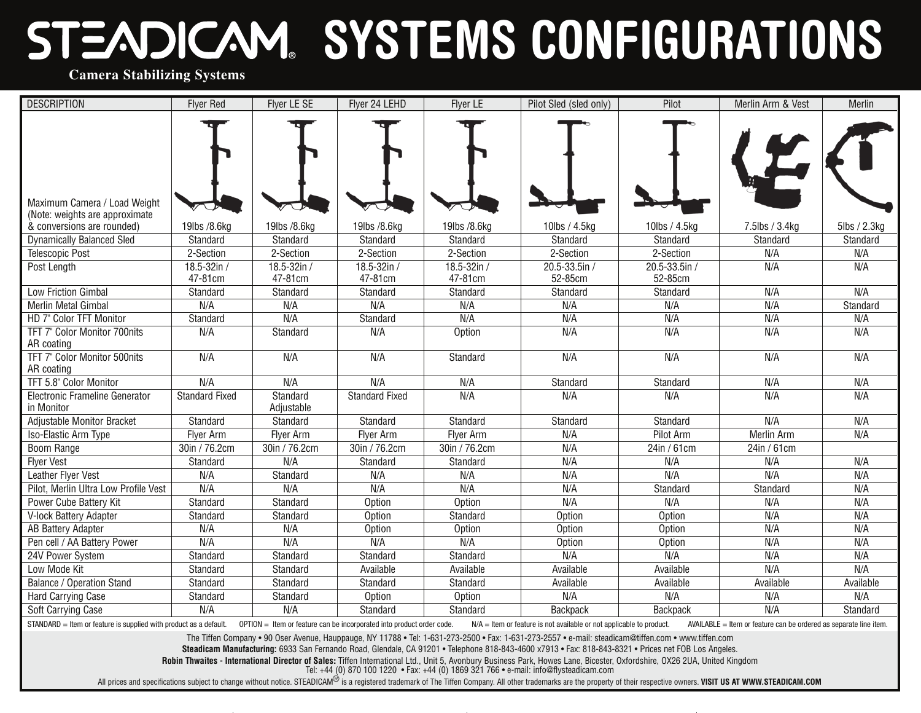## **SYSTEMS CONFIGURATIONS**

**Camera Stabilizing Systems**

| <b>DESCRIPTION</b>                                                                                                                                                                                                                                                                            | <b>Flver Red</b>      | Flyer LE SE            | Flyer 24 LEHD         | Flyer LE         | Pilot Sled (sled only) | Pilot           | Merlin Arm & Vest | Merlin       |  |  |
|-----------------------------------------------------------------------------------------------------------------------------------------------------------------------------------------------------------------------------------------------------------------------------------------------|-----------------------|------------------------|-----------------------|------------------|------------------------|-----------------|-------------------|--------------|--|--|
|                                                                                                                                                                                                                                                                                               |                       |                        |                       |                  |                        |                 |                   |              |  |  |
|                                                                                                                                                                                                                                                                                               |                       |                        |                       |                  |                        |                 |                   |              |  |  |
|                                                                                                                                                                                                                                                                                               |                       |                        |                       |                  |                        |                 |                   |              |  |  |
|                                                                                                                                                                                                                                                                                               |                       |                        |                       |                  |                        |                 |                   |              |  |  |
|                                                                                                                                                                                                                                                                                               |                       |                        |                       |                  |                        |                 |                   |              |  |  |
| Maximum Camera / Load Weight<br>(Note: weights are approximate                                                                                                                                                                                                                                |                       |                        |                       |                  |                        |                 |                   |              |  |  |
| & conversions are rounded)                                                                                                                                                                                                                                                                    | 19lbs /8.6kg          | 19lbs /8.6kg           | 19lbs /8.6kg          | 19lbs /8.6kg     | 10lbs / 4.5kg          | 10lbs / 4.5kg   | 7.5lbs / 3.4kg    | 5lbs / 2.3kg |  |  |
| <b>Dynamically Balanced Sled</b>                                                                                                                                                                                                                                                              | Standard              | Standard               | Standard              | Standard         | Standard               | Standard        | Standard          | Standard     |  |  |
| <b>Telescopic Post</b>                                                                                                                                                                                                                                                                        | 2-Section             | 2-Section              | 2-Section             | 2-Section        | 2-Section              | 2-Section       | N/A               | N/A          |  |  |
| Post Length                                                                                                                                                                                                                                                                                   | 18.5-32in /           | 18.5-32in /            | 18.5-32in /           | 18.5-32in /      | $20.5 - 33.5$ in /     | 20.5-33.5in /   | N/A               | N/A          |  |  |
|                                                                                                                                                                                                                                                                                               | 47-81cm               | 47-81cm                | 47-81cm               | 47-81cm          | 52-85cm                | 52-85cm         |                   |              |  |  |
| Low Friction Gimbal                                                                                                                                                                                                                                                                           | Standard              | Standard               | Standard              | Standard         | Standard               | Standard        | N/A               | N/A          |  |  |
| Merlin Metal Gimbal                                                                                                                                                                                                                                                                           | N/A                   | N/A                    | N/A                   | N/A              | N/A                    | N/A             | N/A               | Standard     |  |  |
| HD 7" Color TFT Monitor                                                                                                                                                                                                                                                                       | Standard              | N/A                    | Standard              | N/A              | N/A                    | N/A             | N/A               | N/A          |  |  |
| TFT 7" Color Monitor 700nits<br>AR coating                                                                                                                                                                                                                                                    | N/A                   | Standard               | N/A                   | Option           | N/A                    | N/A             | N/A               | N/A          |  |  |
| TFT 7" Color Monitor 500nits<br>AR coating                                                                                                                                                                                                                                                    | N/A                   | N/A                    | N/A                   | Standard         | N/A                    | N/A             | N/A               | N/A          |  |  |
| TFT 5.8" Color Monitor                                                                                                                                                                                                                                                                        | N/A                   | N/A                    | N/A                   | N/A              | Standard               | Standard        | N/A               | N/A          |  |  |
| Electronic Frameline Generator<br>in Monitor                                                                                                                                                                                                                                                  | <b>Standard Fixed</b> | Standard<br>Adjustable | <b>Standard Fixed</b> | N/A              | N/A                    | N/A             | N/A               | N/A          |  |  |
| Adjustable Monitor Bracket                                                                                                                                                                                                                                                                    | Standard              | Standard               | Standard              | Standard         | Standard               | Standard        | N/A               | N/A          |  |  |
| Iso-Elastic Arm Type                                                                                                                                                                                                                                                                          | Flyer Arm             | Flyer Arm              | <b>Flyer Arm</b>      | <b>Flyer Arm</b> | N/A                    | Pilot Arm       | Merlin Arm        | N/A          |  |  |
| <b>Boom Range</b>                                                                                                                                                                                                                                                                             | 30in / 76.2cm         | 30in / 76.2cm          | 30in / 76.2cm         | 30in / 76.2cm    | N/A                    | 24in / 61cm     | 24in / 61cm       |              |  |  |
| <b>Flyer Vest</b>                                                                                                                                                                                                                                                                             | Standard              | N/A                    | Standard              | Standard         | N/A                    | N/A             | N/A               | N/A          |  |  |
| Leather Flyer Vest                                                                                                                                                                                                                                                                            | N/A                   | Standard               | N/A                   | N/A              | N/A                    | N/A             | N/A               | N/A          |  |  |
| Pilot, Merlin Ultra Low Profile Vest                                                                                                                                                                                                                                                          | N/A                   | N/A                    | N/A                   | N/A              | N/A                    | Standard        | Standard          | N/A          |  |  |
| Power Cube Battery Kit                                                                                                                                                                                                                                                                        | Standard              | Standard               | Option                | Option           | N/A                    | N/A             | N/A               | N/A          |  |  |
| V-lock Battery Adapter                                                                                                                                                                                                                                                                        | Standard              | Standard               | Option                | Standard         | Option                 | <b>Option</b>   | N/A               | N/A          |  |  |
| AB Battery Adapter                                                                                                                                                                                                                                                                            | N/A                   | N/A                    | Option                | Option           | Option                 | Option          | N/A               | N/A          |  |  |
| Pen cell / AA Battery Power                                                                                                                                                                                                                                                                   | N/A                   | N/A                    | N/A                   | N/A              | Option                 | Option          | N/A               | N/A          |  |  |
| 24V Power System                                                                                                                                                                                                                                                                              | Standard              | Standard               | Standard              | Standard         | N/A                    | N/A             | N/A               | N/A          |  |  |
| Low Mode Kit                                                                                                                                                                                                                                                                                  | Standard              | Standard               | Available             | Available        | Available              | Available       | N/A               | N/A          |  |  |
| <b>Balance / Operation Stand</b>                                                                                                                                                                                                                                                              | Standard              | Standard               | Standard              | Standard         | Available              | Available       | Available         | Available    |  |  |
| Hard Carrying Case                                                                                                                                                                                                                                                                            | Standard              | Standard               | Option                | Option           | N/A                    | N/A             | N/A               | N/A          |  |  |
| Soft Carrying Case                                                                                                                                                                                                                                                                            | N/A                   | N/A                    | Standard              | Standard         | Backpack               | <b>Backpack</b> | N/A               | Standard     |  |  |
| STANDARD = Item or feature is supplied with product as a default.<br>$OPTION =$ Item or feature can be incorporated into product order code.<br>$N/A$ = Item or feature is not available or not applicable to product.<br>$AVAILABLE = Item$ or feature can be ordered as separate line item. |                       |                        |                       |                  |                        |                 |                   |              |  |  |

The Tiffen Company • 90 Oser Avenue, Hauppauge, NY 11788 • Tel: 1-631-273-2500 • Fax: 1-631-273-2557 • e-mail: steadicam@tiffen.com • www.tiffen.com

**Steadicam Manufacturing:** 6933 San Fernando Road, Glendale, CA 91201 • Telephone 818-843-4600 x7913 • Fax: 818-843-8321 • Prices net FOB Los Angeles.

**Robin Thwaites - International Director of Sales:** Tiffen International Ltd., Unit 5, Avonbury Business Park, Howes Lane, Bicester, Oxfordshire, OX26 2UA, United Kingdom

Tel: +44 (0) 870 100 1220 • Fax: +44 (0) 1869 321 766 • e-mail: info@flysteadicam.com

All prices and specifications subject to change without notice. STEADICAM<sup>®</sup> is a registered trademark of The Tiffen Company. All other trademarks are the property of their respective owners. VISIT US AT WWW.STEADICAM.COM